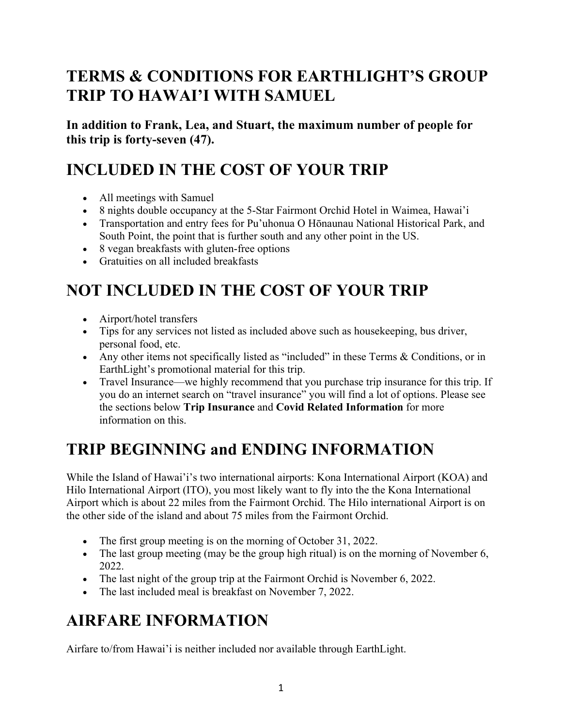# **TERMS & CONDITIONS FOR EARTHLIGHT'S GROUP TRIP TO HAWAI'I WITH SAMUEL**

**In addition to Frank, Lea, and Stuart, the maximum number of people for this trip is forty-seven (47).**

# **INCLUDED IN THE COST OF YOUR TRIP**

- All meetings with Samuel
- 8 nights double occupancy at the 5-Star Fairmont Orchid Hotel in Waimea, Hawai'i
- Transportation and entry fees for Pu'uhonua O Hōnaunau National Historical Park, and South Point, the point that is further south and any other point in the US.
- 8 vegan breakfasts with gluten-free options
- Gratuities on all included breakfasts

# **NOT INCLUDED IN THE COST OF YOUR TRIP**

- Airport/hotel transfers
- Tips for any services not listed as included above such as house keeping, bus driver, personal food, etc.
- Any other items not specifically listed as "included" in these Terms & Conditions, or in EarthLight's promotional material for this trip.
- Travel Insurance—we highly recommend that you purchase trip insurance for this trip. If you do an internet search on "travel insurance" you will find a lot of options. Please see the sections below **Trip Insurance** and **Covid Related Information** for more information on this.

# **TRIP BEGINNING and ENDING INFORMATION**

While the Island of Hawai'i's two international airports: Kona International Airport (KOA) and Hilo International Airport (ITO), you most likely want to fly into the the Kona International Airport which is about 22 miles from the Fairmont Orchid. The Hilo international Airport is on the other side of the island and about 75 miles from the Fairmont Orchid.

- The first group meeting is on the morning of October 31, 2022.
- The last group meeting (may be the group high ritual) is on the morning of November 6, 2022.
- The last night of the group trip at the Fairmont Orchid is November 6, 2022.
- The last included meal is breakfast on November 7, 2022.

### **AIRFARE INFORMATION**

Airfare to/from Hawai'i is neither included nor available through EarthLight.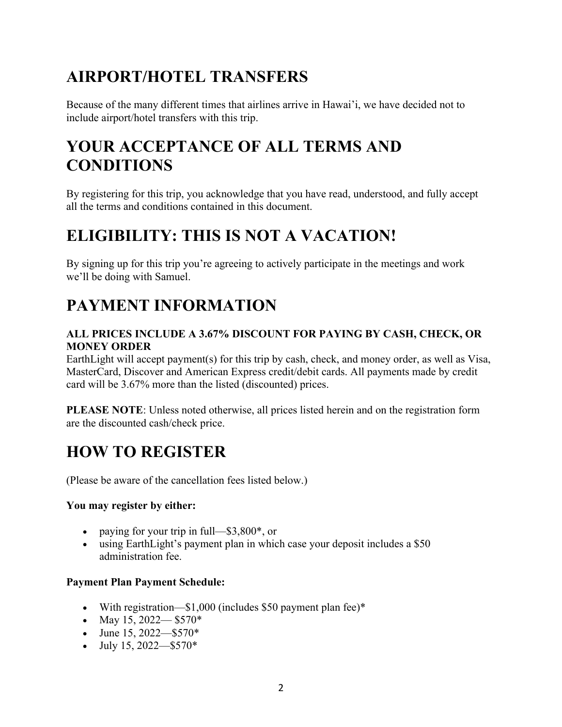# **AIRPORT/HOTEL TRANSFERS**

Because of the many different times that airlines arrive in Hawai'i, we have decided not to include airport/hotel transfers with this trip.

# **YOUR ACCEPTANCE OF ALL TERMS AND CONDITIONS**

By registering for this trip, you acknowledge that you have read, understood, and fully accept all the terms and conditions contained in this document.

## **ELIGIBILITY: THIS IS NOT A VACATION!**

By signing up for this trip you're agreeing to actively participate in the meetings and work we'll be doing with Samuel.

# **PAYMENT INFORMATION**

#### **ALL PRICES INCLUDE A 3.67% DISCOUNT FOR PAYING BY CASH, CHECK, OR MONEY ORDER**

EarthLight will accept payment(s) for this trip by cash, check, and money order, as well as Visa, MasterCard, Discover and American Express credit/debit cards. All payments made by credit card will be 3.67% more than the listed (discounted) prices.

**PLEASE NOTE**: Unless noted otherwise, all prices listed herein and on the registration form are the discounted cash/check price.

# **HOW TO REGISTER**

(Please be aware of the cancellation fees listed below.)

#### **You may register by either:**

- paying for your trip in full— $$3,800^*$ , or
- using EarthLight's payment plan in which case your deposit includes a \$50 administration fee.

#### **Payment Plan Payment Schedule:**

- With registration—\$1,000 (includes \$50 payment plan fee)\*
- May 15, 2022— $$570*$
- June 15,  $2022 $570*$
- July 15, 2022—\$570\*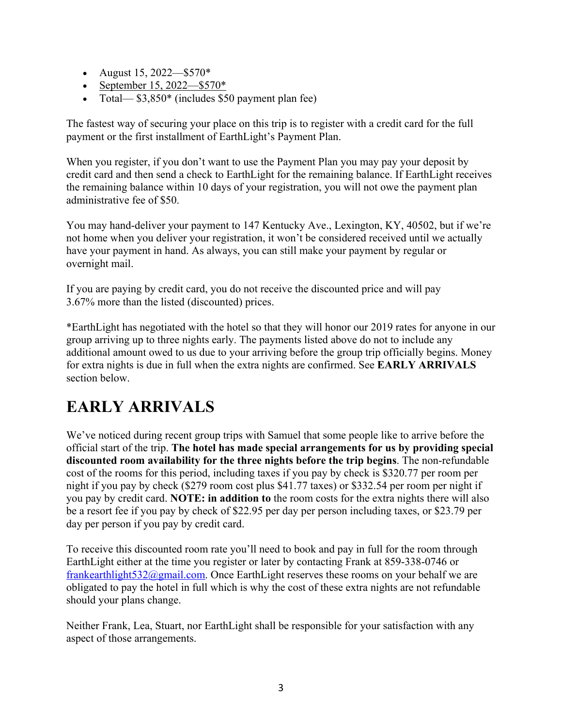- August 15, 2022—\$570\*
- September 15, 2022—\$570\*
- Total— $$3,850^*$  (includes \$50 payment plan fee)

The fastest way of securing your place on this trip is to register with a credit card for the full payment or the first installment of EarthLight's Payment Plan.

When you register, if you don't want to use the Payment Plan you may pay your deposit by credit card and then send a check to EarthLight for the remaining balance. If EarthLight receives the remaining balance within 10 days of your registration, you will not owe the payment plan administrative fee of \$50.

You may hand-deliver your payment to 147 Kentucky Ave., Lexington, KY, 40502, but if we're not home when you deliver your registration, it won't be considered received until we actually have your payment in hand. As always, you can still make your payment by regular or overnight mail.

If you are paying by credit card, you do not receive the discounted price and will pay 3.67% more than the listed (discounted) prices.

\*EarthLight has negotiated with the hotel so that they will honor our 2019 rates for anyone in our group arriving up to three nights early. The payments listed above do not to include any additional amount owed to us due to your arriving before the group trip officially begins. Money for extra nights is due in full when the extra nights are confirmed. See **EARLY ARRIVALS** section below.

# **EARLY ARRIVALS**

We've noticed during recent group trips with Samuel that some people like to arrive before the official start of the trip. **The hotel has made special arrangements for us by providing special discounted room availability for the three nights before the trip begins**. The non-refundable cost of the rooms for this period, including taxes if you pay by check is \$320.77 per room per night if you pay by check (\$279 room cost plus \$41.77 taxes) or \$332.54 per room per night if you pay by credit card. **NOTE: in addition to** the room costs for the extra nights there will also be a resort fee if you pay by check of \$22.95 per day per person including taxes, or \$23.79 per day per person if you pay by credit card.

To receive this discounted room rate you'll need to book and pay in full for the room through EarthLight either at the time you register or later by contacting Frank at 859-338-0746 or frankearthlight532@gmail.com. Once EarthLight reserves these rooms on your behalf we are obligated to pay the hotel in full which is why the cost of these extra nights are not refundable should your plans change.

Neither Frank, Lea, Stuart, nor EarthLight shall be responsible for your satisfaction with any aspect of those arrangements.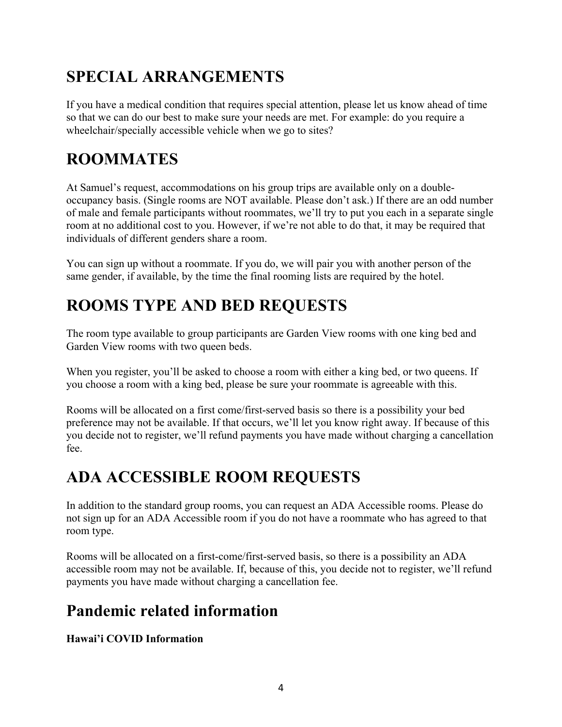# **SPECIAL ARRANGEMENTS**

If you have a medical condition that requires special attention, please let us know ahead of time so that we can do our best to make sure your needs are met. For example: do you require a wheelchair/specially accessible vehicle when we go to sites?

# **ROOMMATES**

At Samuel's request, accommodations on his group trips are available only on a doubleoccupancy basis. (Single rooms are NOT available. Please don't ask.) If there are an odd number of male and female participants without roommates, we'll try to put you each in a separate single room at no additional cost to you. However, if we're not able to do that, it may be required that individuals of different genders share a room.

You can sign up without a roommate. If you do, we will pair you with another person of the same gender, if available, by the time the final rooming lists are required by the hotel.

# **ROOMS TYPE AND BED REQUESTS**

The room type available to group participants are Garden View rooms with one king bed and Garden View rooms with two queen beds.

When you register, you'll be asked to choose a room with either a king bed, or two queens. If you choose a room with a king bed, please be sure your roommate is agreeable with this.

Rooms will be allocated on a first come/first-served basis so there is a possibility your bed preference may not be available. If that occurs, we'll let you know right away. If because of this you decide not to register, we'll refund payments you have made without charging a cancellation fee.

# **ADA ACCESSIBLE ROOM REQUESTS**

In addition to the standard group rooms, you can request an ADA Accessible rooms. Please do not sign up for an ADA Accessible room if you do not have a roommate who has agreed to that room type.

Rooms will be allocated on a first-come/first-served basis, so there is a possibility an ADA accessible room may not be available. If, because of this, you decide not to register, we'll refund payments you have made without charging a cancellation fee.

### **Pandemic related information**

**Hawai'i COVID Information**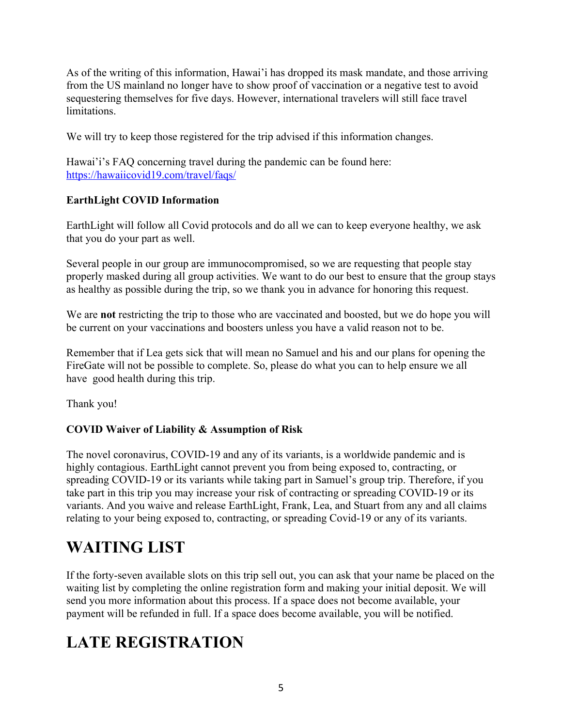As of the writing of this information, Hawai'i has dropped its mask mandate, and those arriving from the US mainland no longer have to show proof of vaccination or a negative test to avoid sequestering themselves for five days. However, international travelers will still face travel limitations.

We will try to keep those registered for the trip advised if this information changes.

Hawai'i's FAQ concerning travel during the pandemic can be found here: https://hawaiicovid19.com/travel/faqs/

#### **EarthLight COVID Information**

EarthLight will follow all Covid protocols and do all we can to keep everyone healthy, we ask that you do your part as well.

Several people in our group are immunocompromised, so we are requesting that people stay properly masked during all group activities. We want to do our best to ensure that the group stays as healthy as possible during the trip, so we thank you in advance for honoring this request.

We are **not** restricting the trip to those who are vaccinated and boosted, but we do hope you will be current on your vaccinations and boosters unless you have a valid reason not to be.

Remember that if Lea gets sick that will mean no Samuel and his and our plans for opening the FireGate will not be possible to complete. So, please do what you can to help ensure we all have good health during this trip.

Thank you!

#### **COVID Waiver of Liability & Assumption of Risk**

The novel coronavirus, COVID-19 and any of its variants, is a worldwide pandemic and is highly contagious. EarthLight cannot prevent you from being exposed to, contracting, or spreading COVID-19 or its variants while taking part in Samuel's group trip. Therefore, if you take part in this trip you may increase your risk of contracting or spreading COVID-19 or its variants. And you waive and release EarthLight, Frank, Lea, and Stuart from any and all claims relating to your being exposed to, contracting, or spreading Covid-19 or any of its variants.

# **WAITING LIST**

If the forty-seven available slots on this trip sell out, you can ask that your name be placed on the waiting list by completing the online registration form and making your initial deposit. We will send you more information about this process. If a space does not become available, your payment will be refunded in full. If a space does become available, you will be notified.

### **LATE REGISTRATION**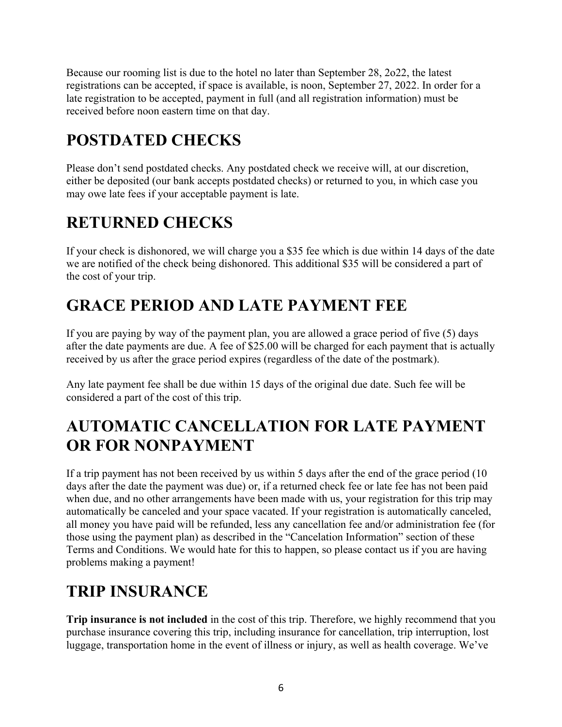Because our rooming list is due to the hotel no later than September 28, 2o22, the latest registrations can be accepted, if space is available, is noon, September 27, 2022. In order for a late registration to be accepted, payment in full (and all registration information) must be received before noon eastern time on that day.

# **POSTDATED CHECKS**

Please don't send postdated checks. Any postdated check we receive will, at our discretion, either be deposited (our bank accepts postdated checks) or returned to you, in which case you may owe late fees if your acceptable payment is late.

## **RETURNED CHECKS**

If your check is dishonored, we will charge you a \$35 fee which is due within 14 days of the date we are notified of the check being dishonored. This additional \$35 will be considered a part of the cost of your trip.

# **GRACE PERIOD AND LATE PAYMENT FEE**

If you are paying by way of the payment plan, you are allowed a grace period of five (5) days after the date payments are due. A fee of \$25.00 will be charged for each payment that is actually received by us after the grace period expires (regardless of the date of the postmark).

Any late payment fee shall be due within 15 days of the original due date. Such fee will be considered a part of the cost of this trip.

## **AUTOMATIC CANCELLATION FOR LATE PAYMENT OR FOR NONPAYMENT**

If a trip payment has not been received by us within 5 days after the end of the grace period (10 days after the date the payment was due) or, if a returned check fee or late fee has not been paid when due, and no other arrangements have been made with us, your registration for this trip may automatically be canceled and your space vacated. If your registration is automatically canceled, all money you have paid will be refunded, less any cancellation fee and/or administration fee (for those using the payment plan) as described in the "Cancelation Information" section of these Terms and Conditions. We would hate for this to happen, so please contact us if you are having problems making a payment!

# **TRIP INSURANCE**

**Trip insurance is not included** in the cost of this trip. Therefore, we highly recommend that you purchase insurance covering this trip, including insurance for cancellation, trip interruption, lost luggage, transportation home in the event of illness or injury, as well as health coverage. We've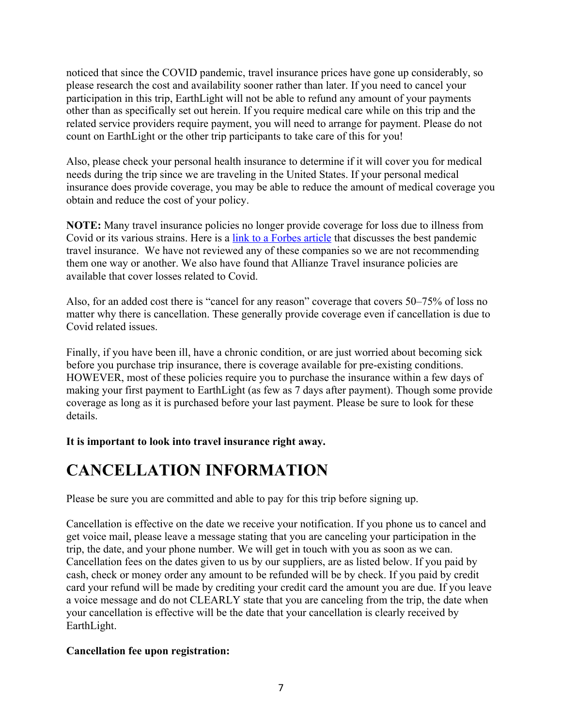noticed that since the COVID pandemic, travel insurance prices have gone up considerably, so please research the cost and availability sooner rather than later. If you need to cancel your participation in this trip, EarthLight will not be able to refund any amount of your payments other than as specifically set out herein. If you require medical care while on this trip and the related service providers require payment, you will need to arrange for payment. Please do not count on EarthLight or the other trip participants to take care of this for you!

Also, please check your personal health insurance to determine if it will cover you for medical needs during the trip since we are traveling in the United States. If your personal medical insurance does provide coverage, you may be able to reduce the amount of medical coverage you obtain and reduce the cost of your policy.

**NOTE:** Many travel insurance policies no longer provide coverage for loss due to illness from Covid or its various strains. Here is a link to a Forbes article that discusses the best pandemic travel insurance. We have not reviewed any of these companies so we are not recommending them one way or another. We also have found that Allianze Travel insurance policies are available that cover losses related to Covid.

Also, for an added cost there is "cancel for any reason" coverage that covers 50–75% of loss no matter why there is cancellation. These generally provide coverage even if cancellation is due to Covid related issues.

Finally, if you have been ill, have a chronic condition, or are just worried about becoming sick before you purchase trip insurance, there is coverage available for pre-existing conditions. HOWEVER, most of these policies require you to purchase the insurance within a few days of making your first payment to EarthLight (as few as 7 days after payment). Though some provide coverage as long as it is purchased before your last payment. Please be sure to look for these details.

#### **It is important to look into travel insurance right away.**

### **CANCELLATION INFORMATION**

Please be sure you are committed and able to pay for this trip before signing up.

Cancellation is effective on the date we receive your notification. If you phone us to cancel and get voice mail, please leave a message stating that you are canceling your participation in the trip, the date, and your phone number. We will get in touch with you as soon as we can. Cancellation fees on the dates given to us by our suppliers, are as listed below. If you paid by cash, check or money order any amount to be refunded will be by check. If you paid by credit card your refund will be made by crediting your credit card the amount you are due. If you leave a voice message and do not CLEARLY state that you are canceling from the trip, the date when your cancellation is effective will be the date that your cancellation is clearly received by EarthLight.

#### **Cancellation fee upon registration:**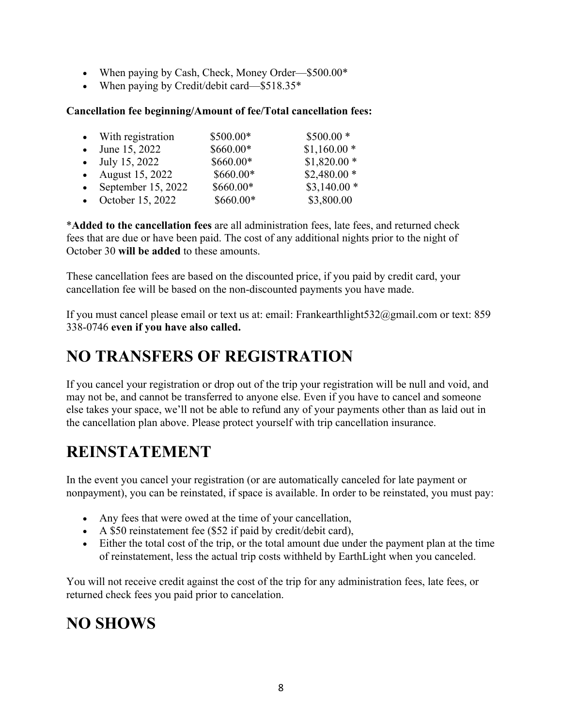- When paying by Cash, Check, Money Order—\$500.00\*
- When paying by Credit/debit card—\$518.35\*

#### **Cancellation fee beginning/Amount of fee/Total cancellation fees:**

| • With registration    | \$500.00*  | $$500.00*$   |
|------------------------|------------|--------------|
| • June 15, 2022        | $$660.00*$ | $$1,160.00*$ |
| • July 15, 2022        | \$660.00*  | $$1,820.00*$ |
| • August $15, 2022$    | $$660.00*$ | $$2,480.00*$ |
| • September $15, 2022$ | $$660.00*$ | $$3,140.00*$ |
| • October 15, 2022     | \$660.00*  | \$3,800.00   |

\***Added to the cancellation fees** are all administration fees, late fees, and returned check fees that are due or have been paid. The cost of any additional nights prior to the night of October 30 **will be added** to these amounts.

These cancellation fees are based on the discounted price, if you paid by credit card, your cancellation fee will be based on the non-discounted payments you have made.

If you must cancel please email or text us at: email: Frankearthlight532@gmail.com or text: 859 338-0746 **even if you have also called.**

### **NO TRANSFERS OF REGISTRATION**

If you cancel your registration or drop out of the trip your registration will be null and void, and may not be, and cannot be transferred to anyone else. Even if you have to cancel and someone else takes your space, we'll not be able to refund any of your payments other than as laid out in the cancellation plan above. Please protect yourself with trip cancellation insurance.

# **REINSTATEMENT**

In the event you cancel your registration (or are automatically canceled for late payment or nonpayment), you can be reinstated, if space is available. In order to be reinstated, you must pay:

- Any fees that were owed at the time of your cancellation,
- A \$50 reinstatement fee (\$52 if paid by credit/debit card),
- Either the total cost of the trip, or the total amount due under the payment plan at the time of reinstatement, less the actual trip costs withheld by EarthLight when you canceled.

You will not receive credit against the cost of the trip for any administration fees, late fees, or returned check fees you paid prior to cancelation.

#### **NO SHOWS**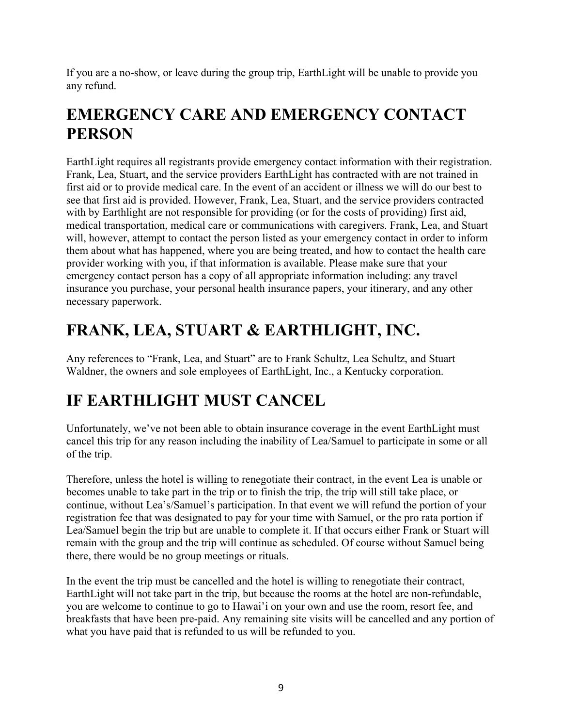If you are a no-show, or leave during the group trip, EarthLight will be unable to provide you any refund.

# **EMERGENCY CARE AND EMERGENCY CONTACT PERSON**

EarthLight requires all registrants provide emergency contact information with their registration. Frank, Lea, Stuart, and the service providers EarthLight has contracted with are not trained in first aid or to provide medical care. In the event of an accident or illness we will do our best to see that first aid is provided. However, Frank, Lea, Stuart, and the service providers contracted with by Earthlight are not responsible for providing (or for the costs of providing) first aid, medical transportation, medical care or communications with caregivers. Frank, Lea, and Stuart will, however, attempt to contact the person listed as your emergency contact in order to inform them about what has happened, where you are being treated, and how to contact the health care provider working with you, if that information is available. Please make sure that your emergency contact person has a copy of all appropriate information including: any travel insurance you purchase, your personal health insurance papers, your itinerary, and any other necessary paperwork.

# **FRANK, LEA, STUART & EARTHLIGHT, INC.**

Any references to "Frank, Lea, and Stuart" are to Frank Schultz, Lea Schultz, and Stuart Waldner, the owners and sole employees of EarthLight, Inc., a Kentucky corporation.

# **IF EARTHLIGHT MUST CANCEL**

Unfortunately, we've not been able to obtain insurance coverage in the event EarthLight must cancel this trip for any reason including the inability of Lea/Samuel to participate in some or all of the trip.

Therefore, unless the hotel is willing to renegotiate their contract, in the event Lea is unable or becomes unable to take part in the trip or to finish the trip, the trip will still take place, or continue, without Lea's/Samuel's participation. In that event we will refund the portion of your registration fee that was designated to pay for your time with Samuel, or the pro rata portion if Lea/Samuel begin the trip but are unable to complete it. If that occurs either Frank or Stuart will remain with the group and the trip will continue as scheduled. Of course without Samuel being there, there would be no group meetings or rituals.

In the event the trip must be cancelled and the hotel is willing to renegotiate their contract, EarthLight will not take part in the trip, but because the rooms at the hotel are non-refundable, you are welcome to continue to go to Hawai'i on your own and use the room, resort fee, and breakfasts that have been pre-paid. Any remaining site visits will be cancelled and any portion of what you have paid that is refunded to us will be refunded to you.